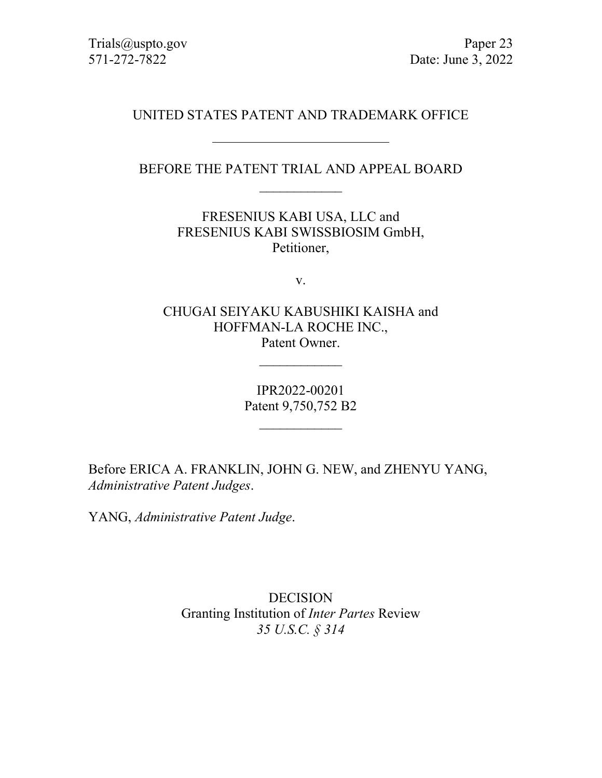# UNITED STATES PATENT AND TRADEMARK OFFICE

# BEFORE THE PATENT TRIAL AND APPEAL BOARD  $\overline{\phantom{a}}$

FRESENIUS KABI USA, LLC and FRESENIUS KABI SWISSBIOSIM GmbH, Petitioner,

v.

CHUGAI SEIYAKU KABUSHIKI KAISHA and HOFFMAN-LA ROCHE INC., Patent Owner.

 $\overline{\phantom{a}}$ 

IPR2022-00201 Patent 9,750,752 B2

 $\overline{\phantom{a}}$ 

Before ERICA A. FRANKLIN, JOHN G. NEW, and ZHENYU YANG, *Administrative Patent Judges*.

YANG, *Administrative Patent Judge*.

DECISION Granting Institution of *Inter Partes* Review *35 U.S.C. § 314*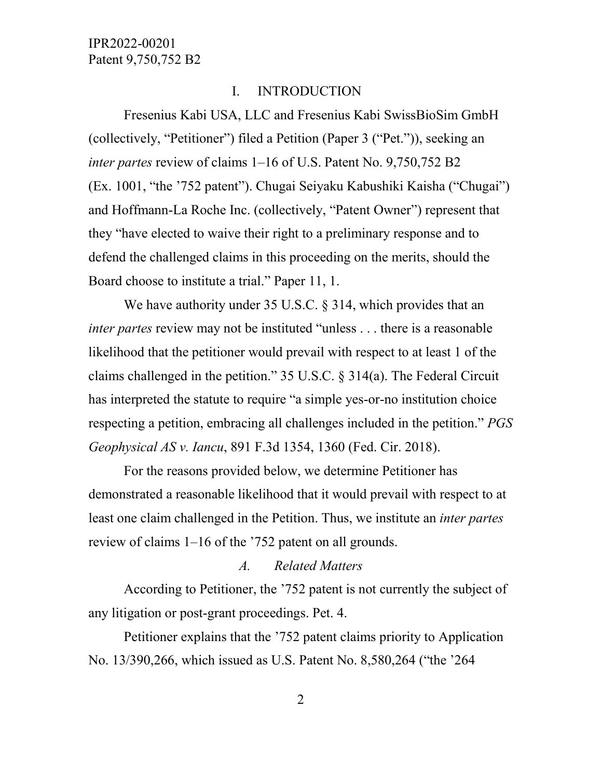### I. INTRODUCTION

Fresenius Kabi USA, LLC and Fresenius Kabi SwissBioSim GmbH (collectively, "Petitioner") filed a Petition (Paper 3 ("Pet.")), seeking an *inter partes* review of claims 1–16 of U.S. Patent No. 9,750,752 B2 (Ex. 1001, "the '752 patent"). Chugai Seiyaku Kabushiki Kaisha ("Chugai") and Hoffmann-La Roche Inc. (collectively, "Patent Owner") represent that they "have elected to waive their right to a preliminary response and to defend the challenged claims in this proceeding on the merits, should the Board choose to institute a trial." Paper 11, 1.

We have authority under 35 U.S.C. § 314, which provides that an *inter partes* review may not be instituted "unless . . . there is a reasonable likelihood that the petitioner would prevail with respect to at least 1 of the claims challenged in the petition." 35 U.S.C. § 314(a). The Federal Circuit has interpreted the statute to require "a simple yes-or-no institution choice respecting a petition, embracing all challenges included in the petition." *PGS Geophysical AS v. Iancu*, 891 F.3d 1354, 1360 (Fed. Cir. 2018).

For the reasons provided below, we determine Petitioner has demonstrated a reasonable likelihood that it would prevail with respect to at least one claim challenged in the Petition. Thus, we institute an *inter partes* review of claims 1–16 of the '752 patent on all grounds.

### *A. Related Matters*

According to Petitioner, the '752 patent is not currently the subject of any litigation or post-grant proceedings. Pet. 4.

Petitioner explains that the '752 patent claims priority to Application No. 13/390,266, which issued as U.S. Patent No. 8,580,264 ("the '264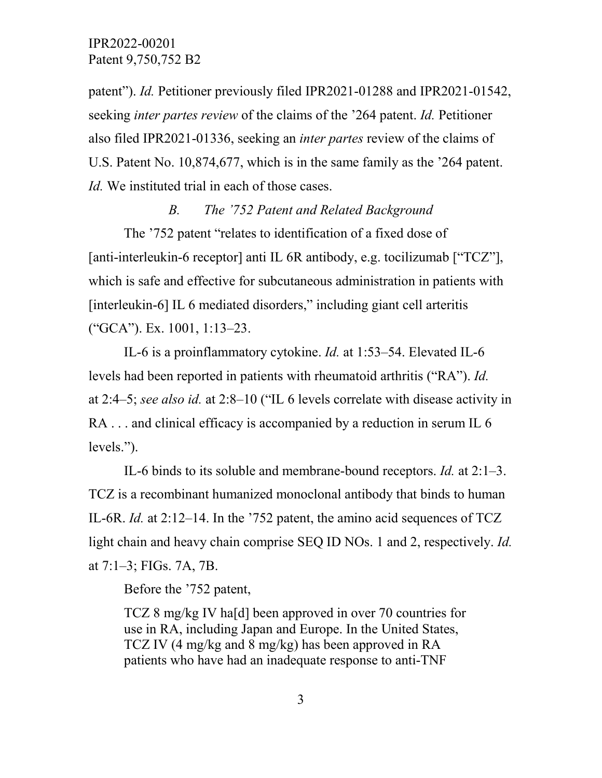patent"). *Id.* Petitioner previously filed IPR2021-01288 and IPR2021-01542, seeking *inter partes review* of the claims of the '264 patent. *Id.* Petitioner also filed IPR2021-01336, seeking an *inter partes* review of the claims of U.S. Patent No. 10,874,677, which is in the same family as the '264 patent. *Id.* We instituted trial in each of those cases.

### *B. The '752 Patent and Related Background*

The '752 patent "relates to identification of a fixed dose of [anti-interleukin-6 receptor] anti IL 6R antibody, e.g. tocilizumab ["TCZ"], which is safe and effective for subcutaneous administration in patients with [interleukin-6] IL 6 mediated disorders," including giant cell arteritis ("GCA"). Ex. 1001, 1:13–23.

IL-6 is a proinflammatory cytokine. *Id.* at 1:53–54. Elevated IL-6 levels had been reported in patients with rheumatoid arthritis ("RA"). *Id.* at 2:4–5; *see also id.* at 2:8–10 ("IL 6 levels correlate with disease activity in RA . . . and clinical efficacy is accompanied by a reduction in serum IL 6 levels.").

IL-6 binds to its soluble and membrane-bound receptors. *Id.* at 2:1–3. TCZ is a recombinant humanized monoclonal antibody that binds to human IL-6R. *Id.* at 2:12–14. In the '752 patent, the amino acid sequences of TCZ light chain and heavy chain comprise SEQ ID NOs. 1 and 2, respectively. *Id.* at 7:1–3; FIGs. 7A, 7B.

Before the '752 patent,

TCZ 8 mg/kg IV ha[d] been approved in over 70 countries for use in RA, including Japan and Europe. In the United States, TCZ IV (4 mg/kg and 8 mg/kg) has been approved in RA patients who have had an inadequate response to anti-TNF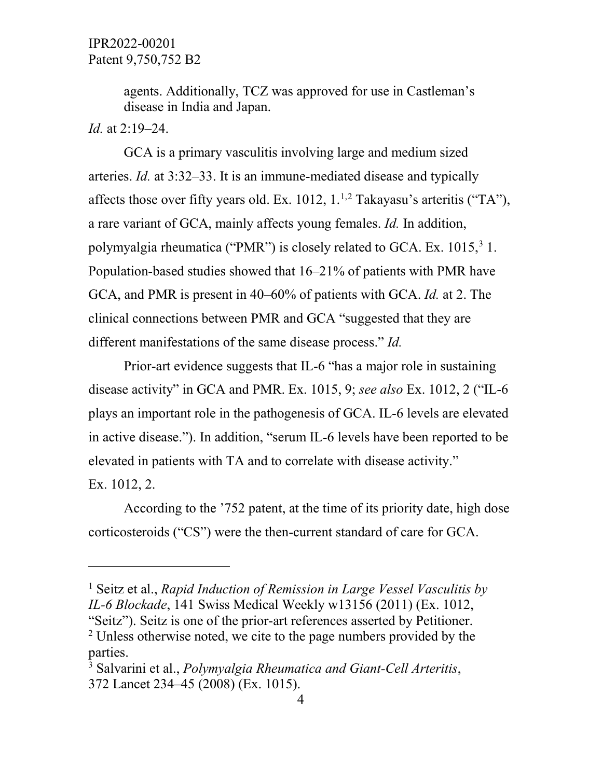agents. Additionally, TCZ was approved for use in Castleman's disease in India and Japan.

## *Id.* at 2:19–24.

 $\overline{a}$ 

GCA is a primary vasculitis involving large and medium sized arteries. *Id.* at 3:32–33. It is an immune-mediated disease and typically affects those over fifty years old. Ex. 101[2](#page-3-1),  $1^{1,2}$  Takayasu's arteritis ("TA"), a rare variant of GCA, mainly affects young females. *Id.* In addition, polymyalgia rheumatica ("PMR") is closely related to GCA. Ex. 1015,<sup>[3](#page-3-2)</sup> 1. Population-based studies showed that 16–21% of patients with PMR have GCA, and PMR is present in 40–60% of patients with GCA. *Id.* at 2. The clinical connections between PMR and GCA "suggested that they are different manifestations of the same disease process." *Id.*

Prior-art evidence suggests that IL-6 "has a major role in sustaining disease activity" in GCA and PMR. Ex. 1015, 9; *see also* Ex. 1012, 2 ("IL-6 plays an important role in the pathogenesis of GCA. IL-6 levels are elevated in active disease."). In addition, "serum IL-6 levels have been reported to be elevated in patients with TA and to correlate with disease activity." Ex. 1012, 2.

According to the '752 patent, at the time of its priority date, high dose corticosteroids ("CS") were the then-current standard of care for GCA.

<span id="page-3-0"></span><sup>1</sup> Seitz et al., *Rapid Induction of Remission in Large Vessel Vasculitis by IL-6 Blockade*, 141 Swiss Medical Weekly w13156 (2011) (Ex. 1012, "Seitz"). Seitz is one of the prior-art references asserted by Petitioner.

<span id="page-3-1"></span><sup>&</sup>lt;sup>2</sup> Unless otherwise noted, we cite to the page numbers provided by the parties.

<span id="page-3-2"></span><sup>3</sup> Salvarini et al., *Polymyalgia Rheumatica and Giant-Cell Arteritis*, 372 Lancet 234–45 (2008) (Ex. 1015).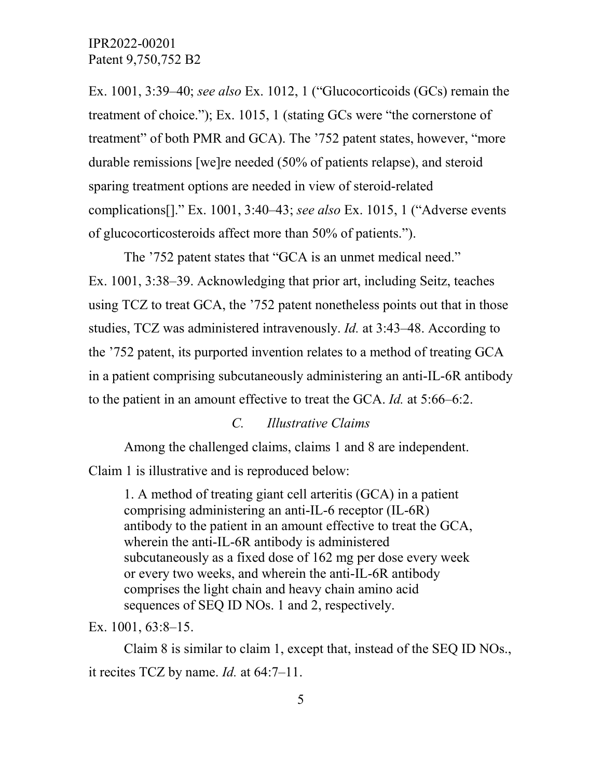Ex. 1001, 3:39–40; *see also* Ex. 1012, 1 ("Glucocorticoids (GCs) remain the treatment of choice."); Ex. 1015, 1 (stating GCs were "the cornerstone of treatment" of both PMR and GCA). The '752 patent states, however, "more durable remissions [we]re needed (50% of patients relapse), and steroid sparing treatment options are needed in view of steroid-related complications[]." Ex. 1001, 3:40–43; *see also* Ex. 1015, 1 ("Adverse events of glucocorticosteroids affect more than 50% of patients.").

The '752 patent states that "GCA is an unmet medical need." Ex. 1001, 3:38–39. Acknowledging that prior art, including Seitz, teaches using TCZ to treat GCA, the '752 patent nonetheless points out that in those studies, TCZ was administered intravenously. *Id.* at 3:43–48. According to the '752 patent, its purported invention relates to a method of treating GCA in a patient comprising subcutaneously administering an anti-IL-6R antibody to the patient in an amount effective to treat the GCA. *Id.* at 5:66–6:2.

# *C. Illustrative Claims*

Among the challenged claims, claims 1 and 8 are independent.

Claim 1 is illustrative and is reproduced below:

1. A method of treating giant cell arteritis (GCA) in a patient comprising administering an anti-IL-6 receptor (IL-6R) antibody to the patient in an amount effective to treat the GCA, wherein the anti-IL-6R antibody is administered subcutaneously as a fixed dose of 162 mg per dose every week or every two weeks, and wherein the anti-IL-6R antibody comprises the light chain and heavy chain amino acid sequences of SEQ ID NOs. 1 and 2, respectively.

Ex. 1001, 63:8–15.

Claim 8 is similar to claim 1, except that, instead of the SEQ ID NOs., it recites TCZ by name. *Id.* at 64:7–11.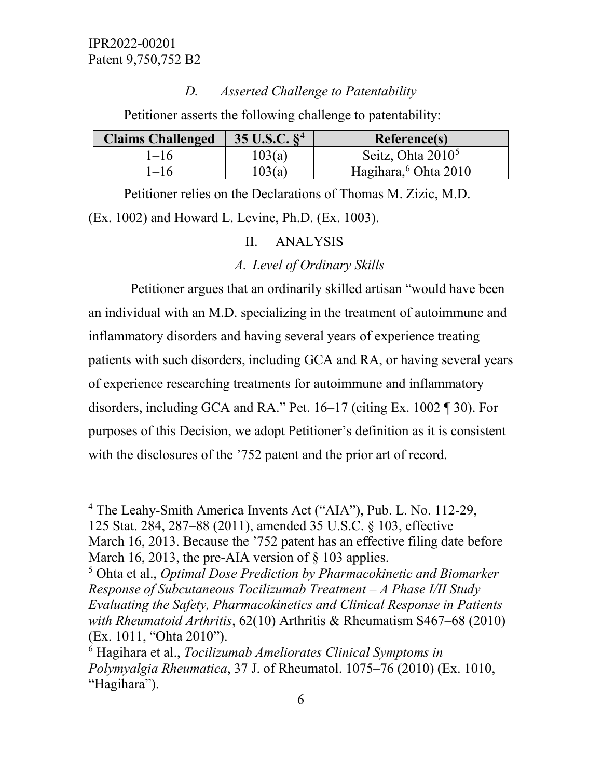$\overline{a}$ 

### *D. Asserted Challenge to Patentability*

Petitioner asserts the following challenge to patentability:

| <b>Claims Challenged</b> | 35 U.S.C. $\S^4$ | <b>Reference(s)</b>              |
|--------------------------|------------------|----------------------------------|
| $1 - 16$                 | 103(a)           | Seitz, Ohta $2010^5$             |
| $-16$                    | 103(a)           | Hagihara, <sup>6</sup> Ohta 2010 |

Petitioner relies on the Declarations of Thomas M. Zizic, M.D. (Ex. 1002) and Howard L. Levine, Ph.D. (Ex. 1003).

### II. ANALYSIS

### *A. Level of Ordinary Skills*

 Petitioner argues that an ordinarily skilled artisan "would have been an individual with an M.D. specializing in the treatment of autoimmune and inflammatory disorders and having several years of experience treating patients with such disorders, including GCA and RA, or having several years of experience researching treatments for autoimmune and inflammatory disorders, including GCA and RA." Pet. 16–17 (citing Ex. 1002 ¶ 30). For purposes of this Decision, we adopt Petitioner's definition as it is consistent with the disclosures of the '752 patent and the prior art of record.

<span id="page-5-0"></span><sup>4</sup> The Leahy-Smith America Invents Act ("AIA"), Pub. L. No. 112-29,

<sup>125</sup> Stat. 284, 287–88 (2011), amended 35 U.S.C. § 103, effective

March 16, 2013. Because the '752 patent has an effective filing date before March 16, 2013, the pre-AIA version of § 103 applies.<br><sup>5</sup> Ohta et al., *Optimal Dose Prediction by Pharmacokinetic and Biomarker* 

<span id="page-5-1"></span>*Response of Subcutaneous Tocilizumab Treatment – A Phase I/II Study Evaluating the Safety, Pharmacokinetics and Clinical Response in Patients with Rheumatoid Arthritis*, 62(10) Arthritis & Rheumatism S467–68 (2010) (Ex. 1011, "Ohta 2010").

<span id="page-5-2"></span><sup>6</sup> Hagihara et al., *Tocilizumab Ameliorates Clinical Symptoms in Polymyalgia Rheumatica*, 37 J. of Rheumatol. 1075–76 (2010) (Ex. 1010, "Hagihara").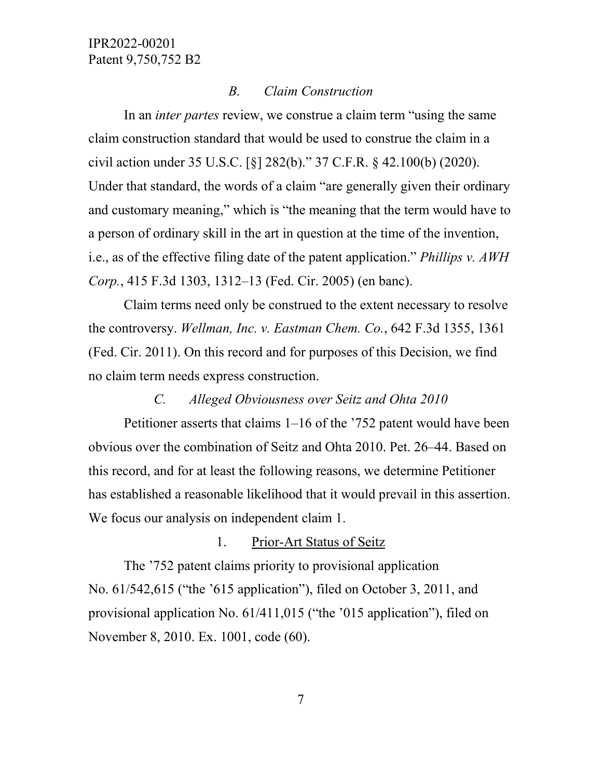## *B. Claim Construction*

In an *inter partes* review, we construe a claim term "using the same claim construction standard that would be used to construe the claim in a civil action under 35 U.S.C. [§] 282(b)." 37 C.F.R. § 42.100(b) (2020). Under that standard, the words of a claim "are generally given their ordinary and customary meaning," which is "the meaning that the term would have to a person of ordinary skill in the art in question at the time of the invention, i.e., as of the effective filing date of the patent application." *Phillips v. AWH Corp.*, 415 F.3d 1303, 1312–13 (Fed. Cir. 2005) (en banc).

Claim terms need only be construed to the extent necessary to resolve the controversy. *Wellman, Inc. v. Eastman Chem. Co.*, 642 F.3d 1355, 1361 (Fed. Cir. 2011). On this record and for purposes of this Decision, we find no claim term needs express construction.

## *C. Alleged Obviousness over Seitz and Ohta 2010*

Petitioner asserts that claims 1–16 of the '752 patent would have been obvious over the combination of Seitz and Ohta 2010. Pet. 26–44. Based on this record, and for at least the following reasons, we determine Petitioner has established a reasonable likelihood that it would prevail in this assertion. We focus our analysis on independent claim 1.

## 1. Prior-Art Status of Seitz

The '752 patent claims priority to provisional application No. 61/542,615 ("the '615 application"), filed on October 3, 2011, and provisional application No. 61/411,015 ("the '015 application"), filed on November 8, 2010. Ex. 1001, code (60).

7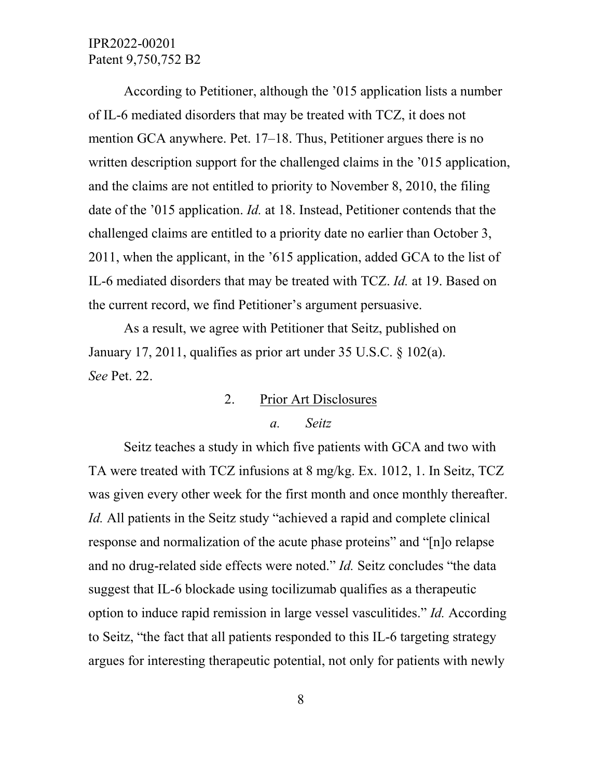According to Petitioner, although the '015 application lists a number of IL-6 mediated disorders that may be treated with TCZ, it does not mention GCA anywhere. Pet. 17–18. Thus, Petitioner argues there is no written description support for the challenged claims in the '015 application, and the claims are not entitled to priority to November 8, 2010, the filing date of the '015 application. *Id.* at 18. Instead, Petitioner contends that the challenged claims are entitled to a priority date no earlier than October 3, 2011, when the applicant, in the '615 application, added GCA to the list of IL-6 mediated disorders that may be treated with TCZ. *Id.* at 19. Based on the current record, we find Petitioner's argument persuasive.

As a result, we agree with Petitioner that Seitz, published on January 17, 2011, qualifies as prior art under 35 U.S.C. § 102(a). *See* Pet. 22.

> 2. Prior Art Disclosures *a. Seitz*

Seitz teaches a study in which five patients with GCA and two with TA were treated with TCZ infusions at 8 mg/kg. Ex. 1012, 1. In Seitz, TCZ was given every other week for the first month and once monthly thereafter. *Id.* All patients in the Seitz study "achieved a rapid and complete clinical response and normalization of the acute phase proteins" and "[n]o relapse and no drug-related side effects were noted." *Id.* Seitz concludes "the data suggest that IL-6 blockade using tocilizumab qualifies as a therapeutic option to induce rapid remission in large vessel vasculitides." *Id.* According to Seitz, "the fact that all patients responded to this IL-6 targeting strategy argues for interesting therapeutic potential, not only for patients with newly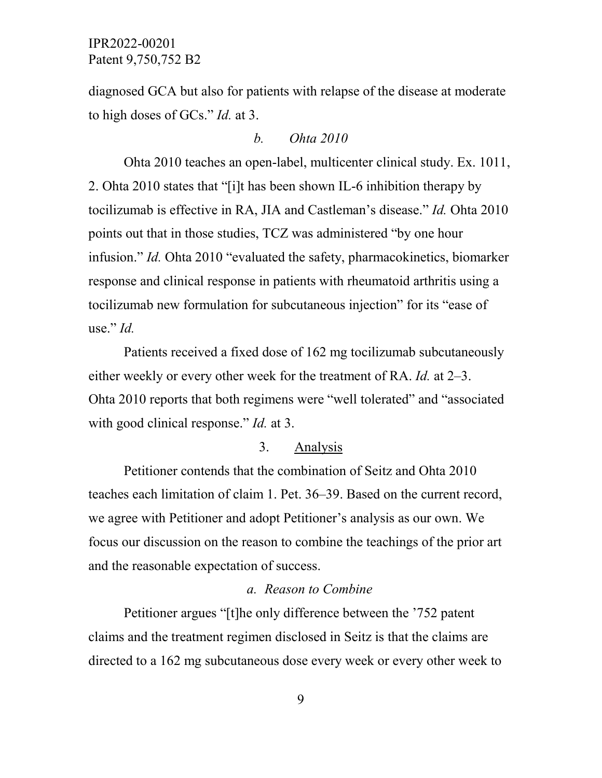diagnosed GCA but also for patients with relapse of the disease at moderate to high doses of GCs." *Id.* at 3.

#### *b. Ohta 2010*

Ohta 2010 teaches an open-label, multicenter clinical study. Ex. 1011, 2. Ohta 2010 states that "[i]t has been shown IL-6 inhibition therapy by tocilizumab is effective in RA, JIA and Castleman's disease." *Id.* Ohta 2010 points out that in those studies, TCZ was administered "by one hour infusion." *Id.* Ohta 2010 "evaluated the safety, pharmacokinetics, biomarker response and clinical response in patients with rheumatoid arthritis using a tocilizumab new formulation for subcutaneous injection" for its "ease of use." *Id.*

Patients received a fixed dose of 162 mg tocilizumab subcutaneously either weekly or every other week for the treatment of RA. *Id.* at 2–3. Ohta 2010 reports that both regimens were "well tolerated" and "associated with good clinical response." *Id.* at 3.

### 3. Analysis

Petitioner contends that the combination of Seitz and Ohta 2010 teaches each limitation of claim 1. Pet. 36–39. Based on the current record, we agree with Petitioner and adopt Petitioner's analysis as our own. We focus our discussion on the reason to combine the teachings of the prior art and the reasonable expectation of success.

#### *a. Reason to Combine*

Petitioner argues "[t]he only difference between the '752 patent claims and the treatment regimen disclosed in Seitz is that the claims are directed to a 162 mg subcutaneous dose every week or every other week to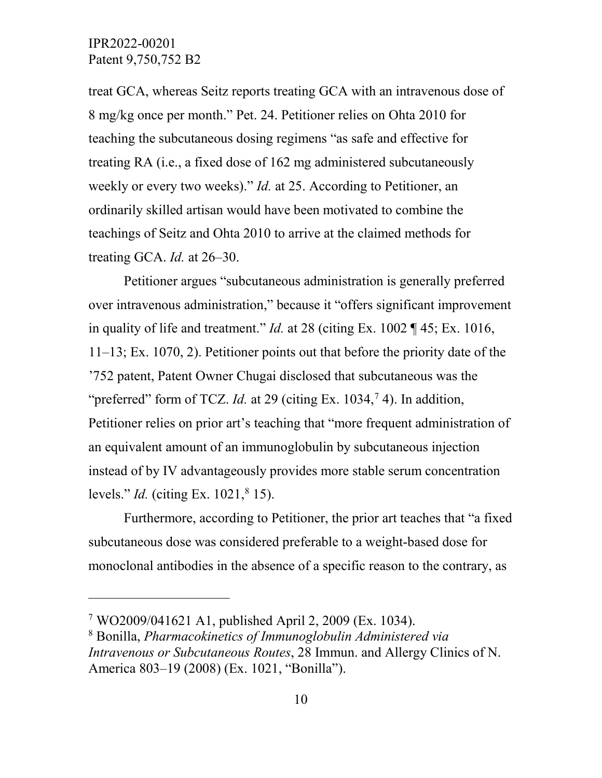$\overline{a}$ 

treat GCA, whereas Seitz reports treating GCA with an intravenous dose of 8 mg/kg once per month." Pet. 24. Petitioner relies on Ohta 2010 for teaching the subcutaneous dosing regimens "as safe and effective for treating RA (i.e., a fixed dose of 162 mg administered subcutaneously weekly or every two weeks)." *Id.* at 25. According to Petitioner, an ordinarily skilled artisan would have been motivated to combine the teachings of Seitz and Ohta 2010 to arrive at the claimed methods for treating GCA. *Id.* at 26–30.

Petitioner argues "subcutaneous administration is generally preferred over intravenous administration," because it "offers significant improvement in quality of life and treatment." *Id.* at 28 (citing Ex. 1002 ¶ 45; Ex. 1016, 11–13; Ex. 1070, 2). Petitioner points out that before the priority date of the '752 patent, Patent Owner Chugai disclosed that subcutaneous was the "preferred" form of TCZ. *Id.* at 29 (citing Ex.  $1034$ ,  $74$  $74$ ). In addition, Petitioner relies on prior art's teaching that "more frequent administration of an equivalent amount of an immunoglobulin by subcutaneous injection instead of by IV advantageously provides more stable serum concentration levels." *Id.* (citing Ex. 1021, <sup>[8](#page-9-1)</sup> 15).

Furthermore, according to Petitioner, the prior art teaches that "a fixed subcutaneous dose was considered preferable to a weight-based dose for monoclonal antibodies in the absence of a specific reason to the contrary, as

<span id="page-9-0"></span><sup>7</sup> WO2009/041621 A1, published April 2, 2009 (Ex. 1034).

<span id="page-9-1"></span><sup>8</sup> Bonilla, *Pharmacokinetics of Immunoglobulin Administered via Intravenous or Subcutaneous Routes*, 28 Immun. and Allergy Clinics of N. America 803–19 (2008) (Ex. 1021, "Bonilla").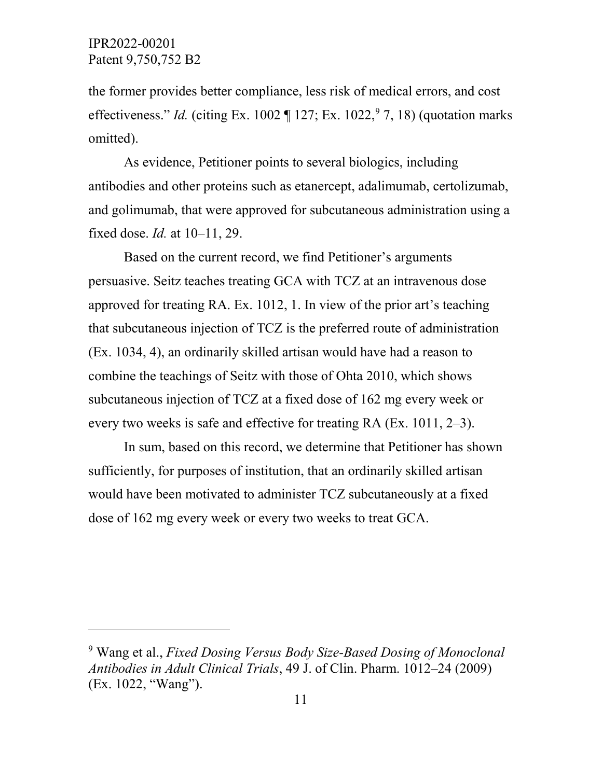$\overline{a}$ 

the former provides better compliance, less risk of medical errors, and cost effectiveness." *Id.* (citing Ex. 1002  $\P$  127; Ex. 1022,  $9$  7, 18) (quotation marks omitted).

As evidence, Petitioner points to several biologics, including antibodies and other proteins such as etanercept, adalimumab, certolizumab, and golimumab, that were approved for subcutaneous administration using a fixed dose. *Id.* at 10–11, 29.

Based on the current record, we find Petitioner's arguments persuasive. Seitz teaches treating GCA with TCZ at an intravenous dose approved for treating RA. Ex. 1012, 1. In view of the prior art's teaching that subcutaneous injection of TCZ is the preferred route of administration (Ex. 1034, 4), an ordinarily skilled artisan would have had a reason to combine the teachings of Seitz with those of Ohta 2010, which shows subcutaneous injection of TCZ at a fixed dose of 162 mg every week or every two weeks is safe and effective for treating RA (Ex. 1011, 2–3).

In sum, based on this record, we determine that Petitioner has shown sufficiently, for purposes of institution, that an ordinarily skilled artisan would have been motivated to administer TCZ subcutaneously at a fixed dose of 162 mg every week or every two weeks to treat GCA.

<span id="page-10-0"></span><sup>9</sup> Wang et al., *Fixed Dosing Versus Body Size-Based Dosing of Monoclonal Antibodies in Adult Clinical Trials*, 49 J. of Clin. Pharm. 1012–24 (2009) (Ex. 1022, "Wang").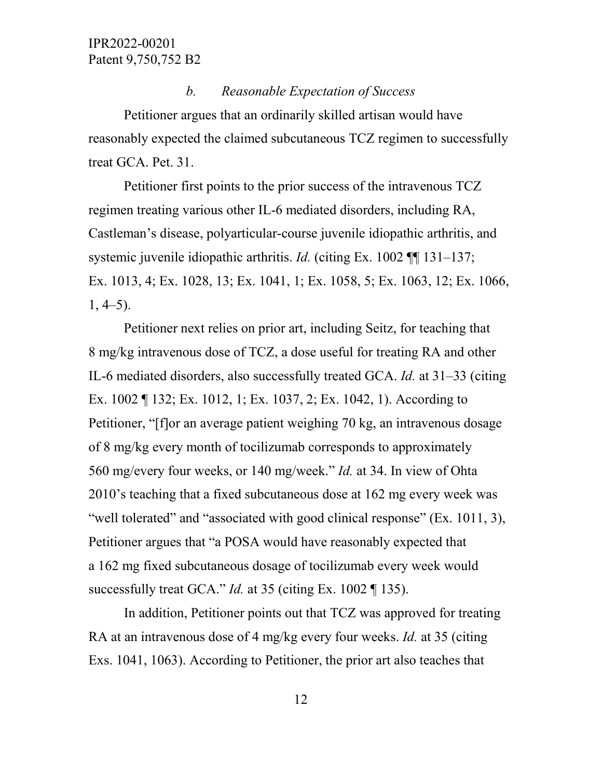### *b. Reasonable Expectation of Success*

Petitioner argues that an ordinarily skilled artisan would have reasonably expected the claimed subcutaneous TCZ regimen to successfully treat GCA. Pet. 31.

Petitioner first points to the prior success of the intravenous TCZ regimen treating various other IL-6 mediated disorders, including RA, Castleman's disease, polyarticular-course juvenile idiopathic arthritis, and systemic juvenile idiopathic arthritis. *Id.* (citing Ex. 1002 ¶¶ 131–137; Ex. 1013, 4; Ex. 1028, 13; Ex. 1041, 1; Ex. 1058, 5; Ex. 1063, 12; Ex. 1066,  $1, 4-5$ ).

Petitioner next relies on prior art, including Seitz, for teaching that 8 mg/kg intravenous dose of TCZ, a dose useful for treating RA and other IL-6 mediated disorders, also successfully treated GCA. *Id.* at 31–33 (citing Ex. 1002 ¶ 132; Ex. 1012, 1; Ex. 1037, 2; Ex. 1042, 1). According to Petitioner, "[f]or an average patient weighing 70 kg, an intravenous dosage of 8 mg/kg every month of tocilizumab corresponds to approximately 560 mg/every four weeks, or 140 mg/week." *Id.* at 34. In view of Ohta 2010's teaching that a fixed subcutaneous dose at 162 mg every week was "well tolerated" and "associated with good clinical response" (Ex. 1011, 3), Petitioner argues that "a POSA would have reasonably expected that a 162 mg fixed subcutaneous dosage of tocilizumab every week would successfully treat GCA." *Id.* at 35 (citing Ex. 1002 ¶ 135).

In addition, Petitioner points out that TCZ was approved for treating RA at an intravenous dose of 4 mg/kg every four weeks. *Id.* at 35 (citing Exs. 1041, 1063). According to Petitioner, the prior art also teaches that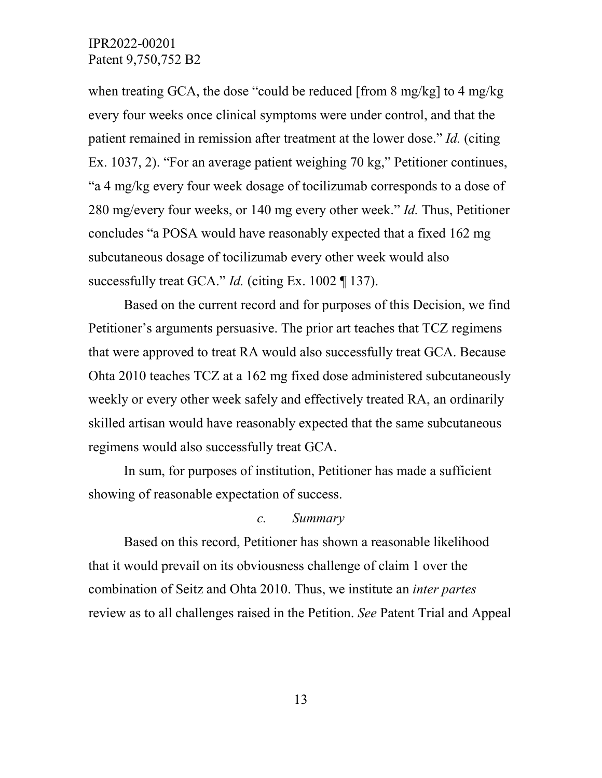when treating GCA, the dose "could be reduced [from 8 mg/kg] to 4 mg/kg every four weeks once clinical symptoms were under control, and that the patient remained in remission after treatment at the lower dose." *Id.* (citing Ex. 1037, 2). "For an average patient weighing 70 kg," Petitioner continues, "a 4 mg/kg every four week dosage of tocilizumab corresponds to a dose of 280 mg/every four weeks, or 140 mg every other week." *Id.* Thus, Petitioner concludes "a POSA would have reasonably expected that a fixed 162 mg subcutaneous dosage of tocilizumab every other week would also successfully treat GCA." *Id.* (citing Ex. 1002 ¶ 137).

Based on the current record and for purposes of this Decision, we find Petitioner's arguments persuasive. The prior art teaches that TCZ regimens that were approved to treat RA would also successfully treat GCA. Because Ohta 2010 teaches TCZ at a 162 mg fixed dose administered subcutaneously weekly or every other week safely and effectively treated RA, an ordinarily skilled artisan would have reasonably expected that the same subcutaneous regimens would also successfully treat GCA.

In sum, for purposes of institution, Petitioner has made a sufficient showing of reasonable expectation of success.

### *c. Summary*

Based on this record, Petitioner has shown a reasonable likelihood that it would prevail on its obviousness challenge of claim 1 over the combination of Seitz and Ohta 2010. Thus, we institute an *inter partes* review as to all challenges raised in the Petition. *See* Patent Trial and Appeal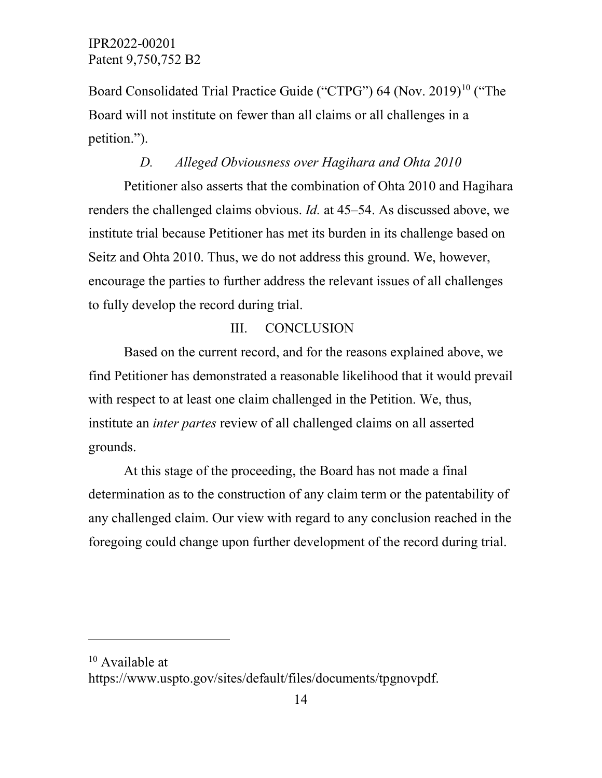Board Consolidated Trial Practice Guide ("CTPG") 64 (Nov. 2019)<sup>[10](#page-13-0)</sup> ("The Board will not institute on fewer than all claims or all challenges in a petition.").

## *D. Alleged Obviousness over Hagihara and Ohta 2010*

Petitioner also asserts that the combination of Ohta 2010 and Hagihara renders the challenged claims obvious. *Id.* at 45–54. As discussed above, we institute trial because Petitioner has met its burden in its challenge based on Seitz and Ohta 2010. Thus, we do not address this ground. We, however, encourage the parties to further address the relevant issues of all challenges to fully develop the record during trial.

# III. CONCLUSION

Based on the current record, and for the reasons explained above, we find Petitioner has demonstrated a reasonable likelihood that it would prevail with respect to at least one claim challenged in the Petition. We, thus, institute an *inter partes* review of all challenged claims on all asserted grounds.

At this stage of the proceeding, the Board has not made a final determination as to the construction of any claim term or the patentability of any challenged claim. Our view with regard to any conclusion reached in the foregoing could change upon further development of the record during trial.

 $\overline{a}$ 

<span id="page-13-0"></span><sup>&</sup>lt;sup>10</sup> Available at

https://www.uspto.gov/sites/default/files/documents/tpgnovpdf.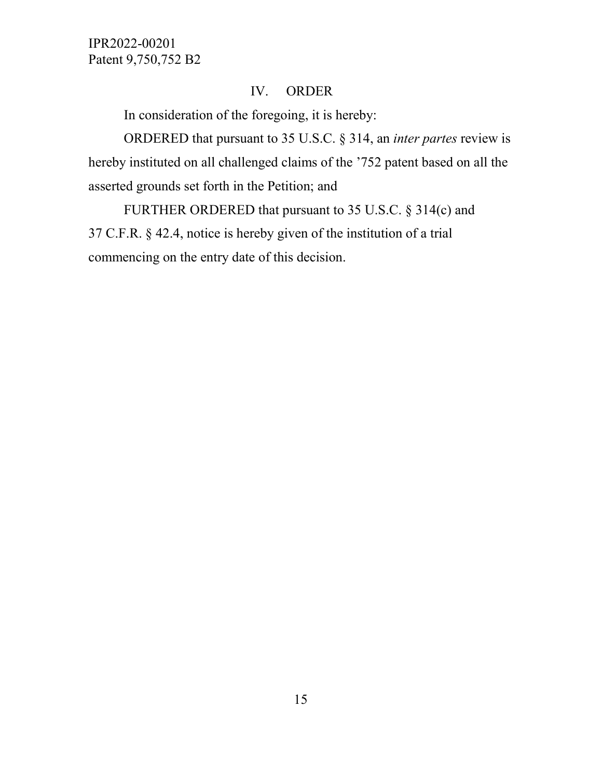# IV. ORDER

In consideration of the foregoing, it is hereby:

ORDERED that pursuant to 35 U.S.C. § 314, an *inter partes* review is hereby instituted on all challenged claims of the '752 patent based on all the asserted grounds set forth in the Petition; and

FURTHER ORDERED that pursuant to 35 U.S.C. § 314(c) and 37 C.F.R. § 42.4, notice is hereby given of the institution of a trial commencing on the entry date of this decision.